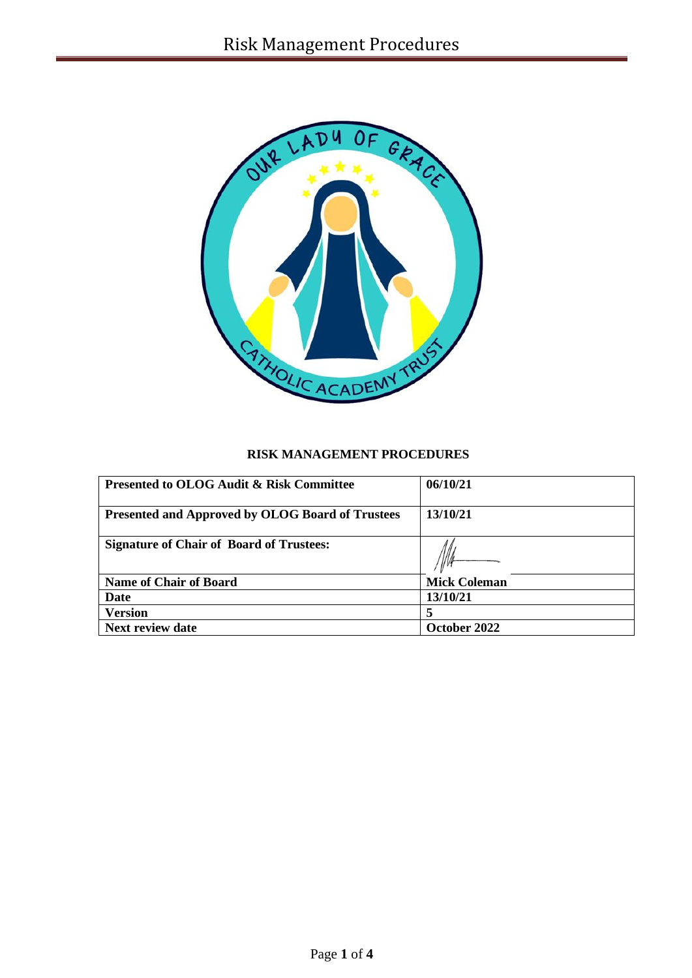

# **RISK MANAGEMENT PROCEDURES**

| <b>Presented to OLOG Audit &amp; Risk Committee</b>     | 06/10/21            |
|---------------------------------------------------------|---------------------|
| <b>Presented and Approved by OLOG Board of Trustees</b> | 13/10/21            |
| <b>Signature of Chair of Board of Trustees:</b>         |                     |
| <b>Name of Chair of Board</b>                           | <b>Mick Coleman</b> |
| Date                                                    | 13/10/21            |
| <b>Version</b>                                          |                     |
| <b>Next review date</b>                                 | October 2022        |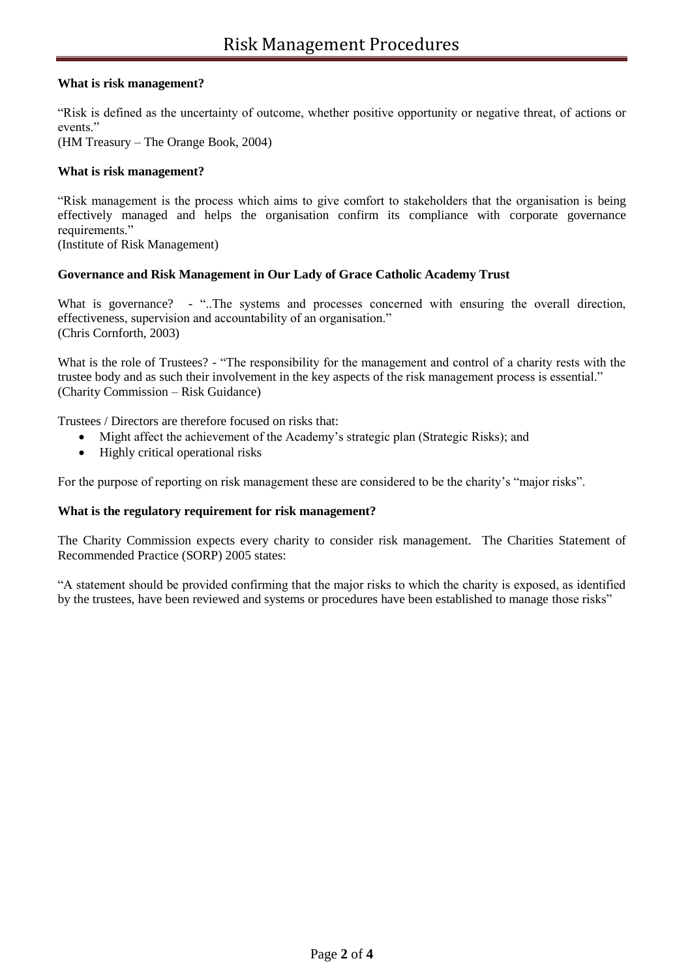## **What is risk management?**

"Risk is defined as the uncertainty of outcome, whether positive opportunity or negative threat, of actions or events."

(HM Treasury – The Orange Book, 2004)

## **What is risk management?**

"Risk management is the process which aims to give comfort to stakeholders that the organisation is being effectively managed and helps the organisation confirm its compliance with corporate governance requirements."

(Institute of Risk Management)

## **Governance and Risk Management in Our Lady of Grace Catholic Academy Trust**

What is governance? - "...The systems and processes concerned with ensuring the overall direction, effectiveness, supervision and accountability of an organisation." (Chris Cornforth, 2003)

What is the role of Trustees? - "The responsibility for the management and control of a charity rests with the trustee body and as such their involvement in the key aspects of the risk management process is essential." (Charity Commission – Risk Guidance)

Trustees / Directors are therefore focused on risks that:

- Might affect the achievement of the Academy's strategic plan (Strategic Risks); and
- Highly critical operational risks

For the purpose of reporting on risk management these are considered to be the charity's "major risks".

#### **What is the regulatory requirement for risk management?**

The Charity Commission expects every charity to consider risk management. The Charities Statement of Recommended Practice (SORP) 2005 states:

"A statement should be provided confirming that the major risks to which the charity is exposed, as identified by the trustees, have been reviewed and systems or procedures have been established to manage those risks"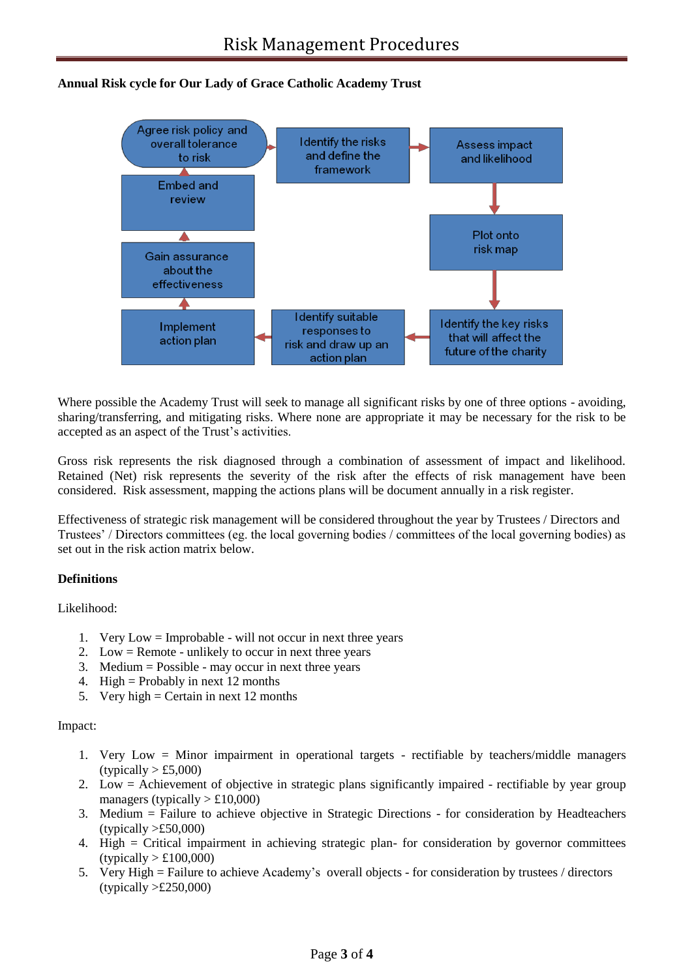# **Annual Risk cycle for Our Lady of Grace Catholic Academy Trust**



Where possible the Academy Trust will seek to manage all significant risks by one of three options - avoiding, sharing/transferring, and mitigating risks. Where none are appropriate it may be necessary for the risk to be accepted as an aspect of the Trust's activities.

Gross risk represents the risk diagnosed through a combination of assessment of impact and likelihood. Retained (Net) risk represents the severity of the risk after the effects of risk management have been considered. Risk assessment, mapping the actions plans will be document annually in a risk register.

Effectiveness of strategic risk management will be considered throughout the year by Trustees / Directors and Trustees' / Directors committees (eg. the local governing bodies / committees of the local governing bodies) as set out in the risk action matrix below.

## **Definitions**

Likelihood:

- 1. Very Low = Improbable will not occur in next three years
- 2. Low  $=$  Remote unlikely to occur in next three years
- 3. Medium  $=$  Possible may occur in next three years
- 4. High = Probably in next 12 months
- 5. Very high = Certain in next 12 months

#### Impact:

- 1. Very Low = Minor impairment in operational targets rectifiable by teachers/middle managers  $(typically > £5,000)$
- 2. Low = Achievement of objective in strategic plans significantly impaired rectifiable by year group managers (typically  $> \pounds 10,000$ )
- 3. Medium = Failure to achieve objective in Strategic Directions for consideration by Headteachers  $(typically > £50,000)$
- 4. High = Critical impairment in achieving strategic plan- for consideration by governor committees  $(typically > £100,000)$
- 5. Very High = Failure to achieve Academy's overall objects for consideration by trustees / directors  $(typically > £250,000)$